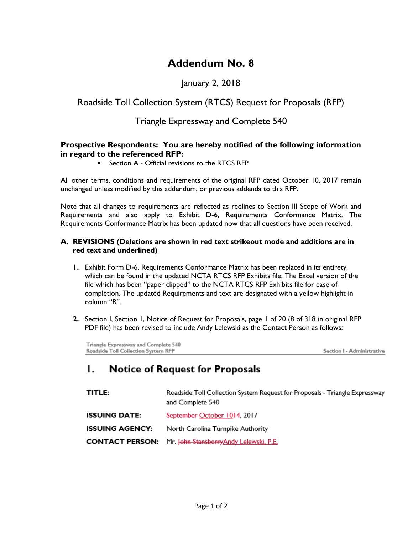# **Addendum No. 8**

# January 2, 2018

# Roadside Toll Collection System (RTCS) Request for Proposals (RFP)

## Triangle Expressway and Complete 540

### **Prospective Respondents: You are hereby notified of the following information in regard to the referenced RFP:**

■ Section A - Official revisions to the RTCS RFP

All other terms, conditions and requirements of the original RFP dated October 10, 2017 remain unchanged unless modified by this addendum, or previous addenda to this RFP.

Note that all changes to requirements are reflected as redlines to Section III Scope of Work and Requirements and also apply to Exhibit D-6, Requirements Conformance Matrix. The Requirements Conformance Matrix has been updated now that all questions have been received.

#### **A. REVISIONS (Deletions are shown in red text strikeout mode and additions are in red text and underlined)**

- **1.** Exhibit Form D-6, Requirements Conformance Matrix has been replaced in its entirety, which can be found in the updated NCTA RTCS RFP Exhibits file. The Excel version of the file which has been "paper clipped" to the NCTA RTCS RFP Exhibits file for ease of completion. The updated Requirements and text are designated with a yellow highlight in column "B".
- **2.** Section I, Section 1, Notice of Request for Proposals, page 1 of 20 (8 of 318 in original RFP PDF file) has been revised to include Andy Lelewski as the Contact Person as follows:

Triangle Expressway and Complete 540 Roadside Toll Collection System RFP

Section I - Administrative

#### **Notice of Request for Proposals** Ι.

| TITLE:                 | Roadside Toll Collection System Request for Proposals - Triangle Expressway<br>and Complete 540 |
|------------------------|-------------------------------------------------------------------------------------------------|
| <b>ISSUING DATE:</b>   | September-October 1044, 2017                                                                    |
| <b>ISSUING AGENCY:</b> | North Carolina Turnpike Authority                                                               |
|                        | <b>CONTACT PERSON:</b> Mr. John Stansberry Andy Lelewski, P.E.                                  |